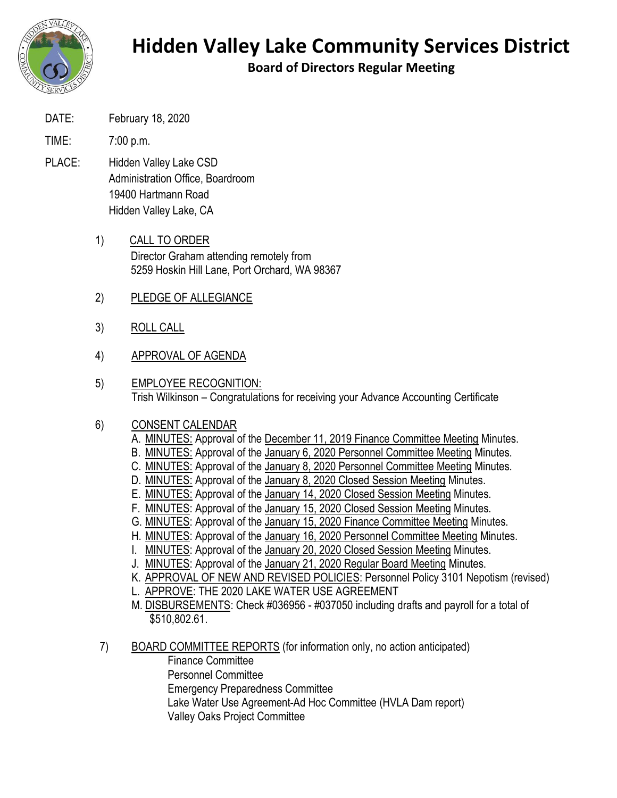

## **Hidden Valley Lake Community Services District**

**Board of Directors Regular Meeting**

DATE: February 18, 2020

TIME: 7:00 p.m.

- PLACE: Hidden Valley Lake CSD Administration Office, Boardroom 19400 Hartmann Road Hidden Valley Lake, CA
	- 1) CALL TO ORDER Director Graham attending remotely from 5259 Hoskin Hill Lane, Port Orchard, WA 98367
	- 2) PLEDGE OF ALLEGIANCE
	- 3) ROLL CALL
	- 4) APPROVAL OF AGENDA
	- 5) EMPLOYEE RECOGNITION: Trish Wilkinson – Congratulations for receiving your Advance Accounting Certificate

## 6) CONSENT CALENDAR

- A. MINUTES: Approval of the December 11, 2019 Finance Committee Meeting Minutes.
- B. MINUTES: Approval of the January 6, 2020 Personnel Committee Meeting Minutes.
- C. MINUTES: Approval of the January 8, 2020 Personnel Committee Meeting Minutes.
- D. MINUTES: Approval of the January 8, 2020 Closed Session Meeting Minutes.
- E. MINUTES: Approval of the January 14, 2020 Closed Session Meeting Minutes.
- F. MINUTES: Approval of the January 15, 2020 Closed Session Meeting Minutes.
- G. MINUTES: Approval of the January 15, 2020 Finance Committee Meeting Minutes.
- H. MINUTES: Approval of the January 16, 2020 Personnel Committee Meeting Minutes.
- I. MINUTES: Approval of the January 20, 2020 Closed Session Meeting Minutes.
- J. MINUTES: Approval of the January 21, 2020 Regular Board Meeting Minutes.
- K. APPROVAL OF NEW AND REVISED POLICIES: Personnel Policy 3101 Nepotism (revised)
- L. APPROVE: THE 2020 LAKE WATER USE AGREEMENT
- M. DISBURSEMENTS: Check #036956 #037050 including drafts and payroll for a total of \$510,802.61.
- 7) BOARD COMMITTEE REPORTS (for information only, no action anticipated)
	- Finance Committee Personnel Committee Emergency Preparedness Committee Lake Water Use Agreement-Ad Hoc Committee (HVLA Dam report) Valley Oaks Project Committee